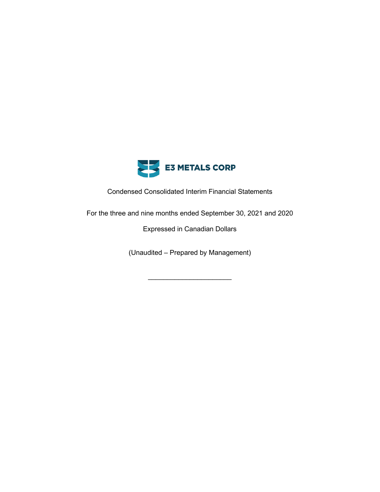

Condensed Consolidated Interim Financial Statements

For the three and nine months ended September 30, 2021 and 2020

Expressed in Canadian Dollars

(Unaudited – Prepared by Management)

\_\_\_\_\_\_\_\_\_\_\_\_\_\_\_\_\_\_\_\_\_\_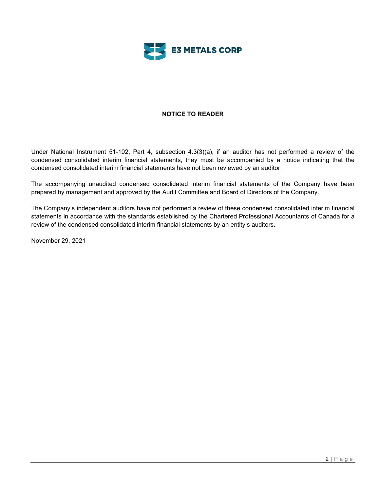

# **NOTICE TO READER**

Under National Instrument 51-102, Part 4, subsection 4.3(3)(a), if an auditor has not performed a review of the condensed consolidated interim financial statements, they must be accompanied by a notice indicating that the condensed consolidated interim financial statements have not been reviewed by an auditor.

The accompanying unaudited condensed consolidated interim financial statements of the Company have been prepared by management and approved by the Audit Committee and Board of Directors of the Company.

The Company's independent auditors have not performed a review of these condensed consolidated interim financial statements in accordance with the standards established by the Chartered Professional Accountants of Canada for a review of the condensed consolidated interim financial statements by an entity's auditors.

November 29, 2021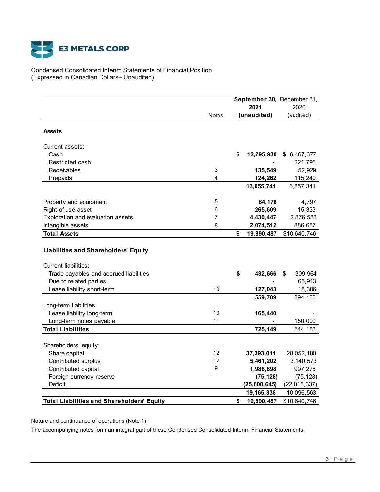

Condensed Consolidated Interim Statements of Financial Position (Expressed in Canadian Dollars– Unaudited)

|                                                                            |              | September 30, December 31,<br>2021 |              | 2020           |
|----------------------------------------------------------------------------|--------------|------------------------------------|--------------|----------------|
|                                                                            | <b>Notes</b> | (unaudited)                        |              | (audited)      |
| <b>Assets</b>                                                              |              |                                    |              |                |
| Current assets:                                                            |              |                                    |              |                |
| Cash                                                                       |              | \$                                 | 12,795,930   | \$6,467,377    |
| Restricted cash                                                            |              |                                    |              | 221,795        |
| Receivables                                                                | 3            |                                    | 135,549      | 52,929         |
| Prepaids                                                                   | 4            |                                    | 124,262      | 115,240        |
|                                                                            |              |                                    | 13,055,741   | 6,857,341      |
| Property and equipment                                                     | 5            |                                    | 64,178       | 4,797          |
| Right-of-use asset                                                         | 6            |                                    | 265,609      | 15,333         |
| Exploration and evaluation assets                                          | 7            |                                    | 4,430,447    | 2,876,588      |
| Intangible assets                                                          | 8            |                                    | 2,074,512    | 886,687        |
| <b>Total Assets</b>                                                        |              | \$                                 | 19,890,487   | \$10,640,746   |
| <b>Liabilities and Shareholders' Equity</b><br><b>Current liabilities:</b> |              |                                    |              |                |
| Trade payables and accrued liabilities                                     |              | \$                                 | 432,666      | 309,964<br>\$  |
| Due to related parties                                                     |              |                                    |              | 65,913         |
| Lease liability short-term                                                 | 10           |                                    | 127,043      | 18,306         |
|                                                                            |              |                                    | 559,709      | 394,183        |
| Long-term liabilities                                                      | 10           |                                    |              |                |
| Lease liability long-term                                                  | 11           |                                    | 165,440      |                |
| Long-term notes payable<br><b>Total Liabilities</b>                        |              |                                    | 725,149      | 150,000        |
|                                                                            |              |                                    |              | 544,183        |
| Shareholders' equity:                                                      |              |                                    |              |                |
| Share capital                                                              | 12           |                                    | 37,393,011   | 28,052,180     |
| Contributed surplus                                                        | 12           |                                    | 5,461,202    | 3,140,573      |
| Contributed capital                                                        | 9            |                                    | 1,986,898    | 997,275        |
| Foreign currency reserve                                                   |              |                                    | (75, 128)    | (75, 128)      |
| Deficit                                                                    |              |                                    | (25,600,645) | (22, 018, 337) |
|                                                                            |              |                                    | 19,165,338   | 10,096,563     |
| <b>Total Liabilities and Shareholders' Equity</b>                          |              | \$                                 | 19,890,487   | \$10,640,746   |

Nature and continuance of operations (Note 1)

The accompanying notes form an integral part of these Condensed Consolidated Interim Financial Statements.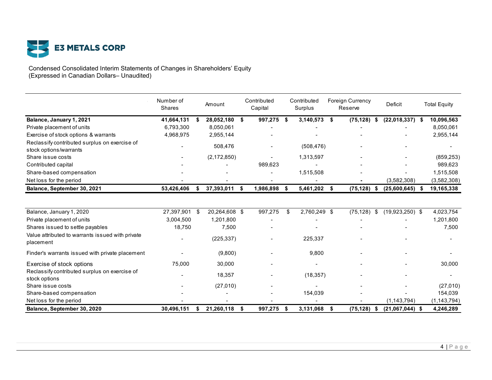

Condensed Consolidated Interim Statements of Changes in Shareholders' Equity (Expressed in Canadian Dollars– Unaudited)

|                                                                | Number of<br><b>Shares</b> |      | Amount        | Contributed<br>Capital |      | Contributed<br>Surplus | <b>Foreign Currency</b><br>Reserve |    | Deficit           | <b>Total Equity</b> |
|----------------------------------------------------------------|----------------------------|------|---------------|------------------------|------|------------------------|------------------------------------|----|-------------------|---------------------|
| Balance, January 1, 2021                                       | 41,664,131                 | - \$ | 28,052,180    | \$<br>997,275 \$       |      | 3,140,573              | \$<br>(75, 128)                    | S  | $(22,018,337)$ \$ | 10,096,563          |
| Private placement of units                                     | 6,793,300                  |      | 8,050,061     |                        |      |                        |                                    |    |                   | 8,050,061           |
| Exercise of stock options & warrants                           | 4,968,975                  |      | 2,955,144     |                        |      |                        |                                    |    |                   | 2,955,144           |
| Reclassify contributed surplus on exercise of                  |                            |      | 508,476       |                        |      | (508, 476)             |                                    |    |                   |                     |
| stock options/warrants                                         |                            |      |               |                        |      |                        |                                    |    |                   |                     |
| Share issue costs                                              |                            |      | (2, 172, 850) |                        |      | 1,313,597              |                                    |    |                   | (859, 253)          |
| Contributed capital                                            |                            |      |               | 989,623                |      |                        |                                    |    |                   | 989,623             |
| Share-based compensation                                       |                            |      |               |                        |      | 1,515,508              |                                    |    |                   | 1,515,508           |
| Net loss for the period                                        |                            |      |               |                        |      |                        |                                    |    | (3,582,308)       | (3,582,308)         |
| Balance, September 30, 2021                                    | 53,426,406                 | \$   | 37,393,011    | \$<br>1,986,898        | Ŝ.   | 5,461,202              | \$<br>(75, 128)                    | \$ | (25,600,645)      | 19,165,338          |
|                                                                |                            |      |               |                        |      |                        |                                    |    |                   |                     |
| Balance, January 1, 2020                                       | 27,397,901 \$              |      | 20,264,608 \$ | 997,275                | \$   | 2,760,249 \$           | (75, 128)                          | \$ | $(19,923,250)$ \$ | 4,023,754           |
| Private placement of units                                     | 3,004,500                  |      | 1,201,800     |                        |      |                        |                                    |    |                   | 1,201,800           |
| Shares issued to settle payables                               | 18,750                     |      | 7,500         |                        |      |                        |                                    |    |                   | 7,500               |
| Value attributed to warrants issued with private<br>placement  |                            |      | (225, 337)    |                        |      | 225,337                |                                    |    |                   |                     |
| Finder's warrants issued with private placement                |                            |      | (9,800)       |                        |      | 9.800                  |                                    |    |                   |                     |
| Exercise of stock options                                      | 75,000                     |      | 30,000        |                        |      |                        |                                    |    |                   | 30,000              |
| Reclassify contributed surplus on exercise of<br>stock options |                            |      | 18,357        |                        |      | (18, 357)              |                                    |    |                   |                     |
| Share issue costs                                              |                            |      | (27,010)      |                        |      |                        |                                    |    |                   | (27,010)            |
| Share-based compensation                                       |                            |      |               |                        |      | 154,039                |                                    |    |                   | 154,039             |
| Net loss for the period                                        |                            |      |               |                        |      |                        |                                    |    | (1, 143, 794)     | (1, 143, 794)       |
| Balance, September 30, 2020                                    | 30,496,151                 | \$   | 21,260,118    | \$<br>997,275          | - \$ | 3,131,068              | \$<br>(75, 128)                    | \$ | $(21,067,044)$ \$ | 4,246,289           |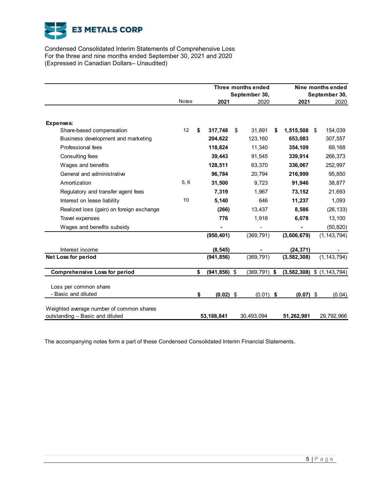

Condensed Consolidated Interim Statements of Comprehensive Loss For the three and nine months ended September 30, 2021 and 2020 (Expressed in Canadian Dollars– Unaudited)

|                                              |              |                       | Three months ended<br>September 30, |                                | Nine months ended<br>September 30, |
|----------------------------------------------|--------------|-----------------------|-------------------------------------|--------------------------------|------------------------------------|
|                                              | <b>Notes</b> | 2021                  | 2020                                | 2021                           | 2020                               |
|                                              |              |                       |                                     |                                |                                    |
| Expenses:                                    |              |                       |                                     |                                |                                    |
| Share-based compensation                     | 12           | \$<br>317.748         | \$<br>31.891                        | \$<br>1,515,508                | \$<br>154,039                      |
| Business development and marketing           |              | 204,622               | 123,160                             | 653,083                        | 307,557                            |
| Professional fees                            |              | 118,824               | 11,340                              | 354,109                        | 69,168                             |
| Consulting fees                              |              | 39,443                | 91,545                              | 339,914                        | 266,373                            |
| Wages and benefits                           |              | 128,511               | 63,370                              | 336,067                        | 252,997                            |
| General and administrative                   |              | 96,784                | 20,794                              | 216,999                        | 95,850                             |
| Amortization                                 | 5, 6         | 31,500                | 9,723                               | 91,946                         | 38,877                             |
| Regulatory and transfer agent fees           |              | 7,319                 | 1,967                               | 73,152                         | 21,693                             |
| Interest on lease liability                  | 10           | 5,140                 | 646                                 | 11,237                         | 1,093                              |
| Realized loss (gain) on foreign exchange     |              | (266)                 | 13,437                              | 8,586                          | (26, 133)                          |
| Travel expenses                              |              | 776                   | 1,918                               | 6,078                          | 13,100                             |
| Wages and benefits subsidy                   |              |                       |                                     |                                | (50, 820)                          |
|                                              |              | (950, 401)            | (369, 791)                          | (3,606,679)                    | (1, 143, 794)                      |
| Interest income                              |              | (8, 545)              |                                     | (24, 371)                      |                                    |
| <b>Net Loss for period</b>                   |              | (941, 856)            | (369, 791)                          | (3, 582, 308)                  | (1, 143, 794)                      |
| <b>Comprehensive Loss for period</b>         |              | \$<br>$(941, 856)$ \$ | $(369, 791)$ \$                     | $(3,582,308)$ \$ $(1,143,794)$ |                                    |
|                                              |              |                       |                                     |                                |                                    |
| Loss per common share<br>- Basic and diluted |              | \$<br>$(0.02)$ \$     | $(0.01)$ \$                         | $(0.07)$ \$                    | (0.04)                             |
|                                              |              |                       |                                     |                                |                                    |
| Weighted average number of common shares     |              |                       |                                     |                                |                                    |
| outstanding - Basic and diluted              |              | 53, 188, 841          | 30,493,094                          | 51,262,981                     | 29,792,966                         |

The accompanying notes form a part of these Condensed Consolidated Interim Financial Statements.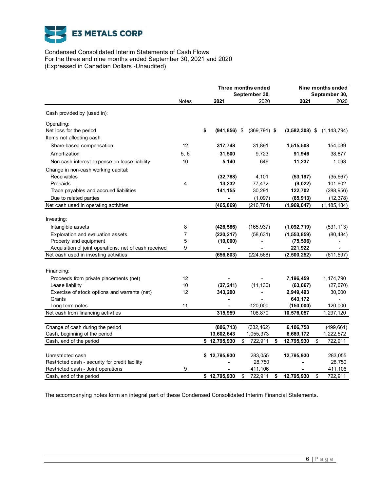

Condensed Consolidated Interim Statements of Cash Flows For the three and nine months ended September 30, 2021 and 2020 (Expressed in Canadian Dollars -Unaudited)

|                                                       |       |                       | Three months ended    |                  | Nine months ended     |  |  |
|-------------------------------------------------------|-------|-----------------------|-----------------------|------------------|-----------------------|--|--|
|                                                       | Notes |                       | September 30,<br>2020 | 2021             | September 30,<br>2020 |  |  |
|                                                       |       | 2021                  |                       |                  |                       |  |  |
| Cash provided by (used in):                           |       |                       |                       |                  |                       |  |  |
| Operating:                                            |       |                       |                       |                  |                       |  |  |
| Net loss for the period                               |       | \$<br>$(941, 856)$ \$ | $(369, 791)$ \$       | $(3,582,308)$ \$ | (1, 143, 794)         |  |  |
| Items not affecting cash                              |       |                       |                       |                  |                       |  |  |
| Share-based compensation                              | 12    | 317,748               | 31,891                | 1,515,508        | 154,039               |  |  |
| Amortization                                          | 5,6   | 31,500                | 9,723                 | 91,946           | 38,877                |  |  |
| Non-cash interest expense on lease liability          | 10    | 5,140                 | 646                   | 11,237           | 1,093                 |  |  |
| Change in non-cash working capital:                   |       |                       |                       |                  |                       |  |  |
| Receivables                                           |       | (32, 788)             | 4,101                 | (53, 197)        | (35,667)              |  |  |
| Prepaids                                              | 4     | 13,232                | 77,472                | (9,022)          | 101,602               |  |  |
| Trade payables and accrued liabilities                |       | 141,155               | 30,291                | 122,702          | (288, 956)            |  |  |
| Due to related parties                                |       |                       | (1,097)               | (65, 913)        | (12, 378)             |  |  |
| Net cash used in operating activities                 |       | (465, 869)            | (216, 764)            | (1,969,047)      | (1, 185, 184)         |  |  |
|                                                       |       |                       |                       |                  |                       |  |  |
| Investing:                                            |       |                       |                       |                  |                       |  |  |
| Intangible assets                                     | 8     | (426, 586)            | (165, 937)            | (1,092,719)      | (531, 113)            |  |  |
| Exploration and evaluation assets                     | 7     | (220, 217)            | (58, 631)             | (1, 553, 859)    | (80, 484)             |  |  |
| Property and equipment                                | 5     | (10,000)              |                       | (75, 596)        |                       |  |  |
| Acquisition of joint operations, net of cash received | 9     |                       |                       | 221,922          |                       |  |  |
| Net cash used in investing activities                 |       | (656, 803)            | (224, 568)            | (2,500,252)      | (611, 597)            |  |  |
| Financing:                                            |       |                       |                       |                  |                       |  |  |
| Proceeds from private placements (net)                | 12    |                       |                       | 7,196,459        | 1,174,790             |  |  |
| Lease liability                                       | 10    | (27, 241)             | (11, 130)             | (63,067)         | (27, 670)             |  |  |
| Exercise of stock options and warrants (net)          | 12    | 343,200               |                       | 2,949,493        | 30,000                |  |  |
| Grants                                                |       |                       |                       | 643,172          |                       |  |  |
| Long term notes                                       | 11    | $\blacksquare$        | 120,000               | (150,000)        | 120,000               |  |  |
| Net cash from financing activities                    |       | 315,959               | 108,870               | 10,576,057       | 1,297,120             |  |  |
| Change of cash during the period                      |       | (806, 713)            | (332, 462)            | 6,106,758        | (499, 661)            |  |  |
| Cash, beginning of the period                         |       | 13,602,643            | 1,055,373             | 6,689,172        | 1,222,572             |  |  |
| Cash, end of the period                               |       | \$12,795,930          | \$<br>722,911         | 12,795,930<br>\$ | 722,911<br>\$         |  |  |
|                                                       |       |                       |                       |                  |                       |  |  |
| Unrestricted cash                                     |       | \$12,795,930          | 283,055               | 12,795,930       | 283,055               |  |  |
| Restricted cash - security for credit facility        |       |                       | 28,750                |                  | 28,750                |  |  |
| Restricted cash - Joint operations                    | 9     |                       | 411,106               |                  | 411,106               |  |  |
| Cash, end of the period                               |       | \$12,795,930          | 722,911<br>\$         | 12,795,930<br>\$ | 722,911<br>\$         |  |  |

The accompanying notes form an integral part of these Condensed Consolidated Interim Financial Statements.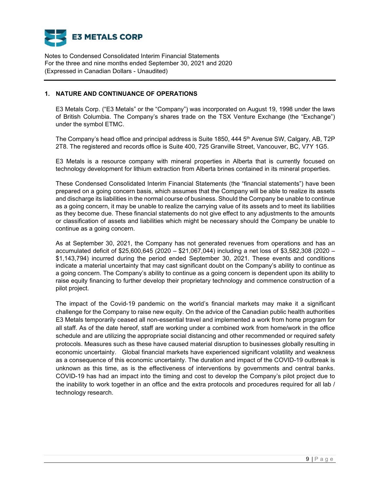

# **1. NATURE AND CONTINUANCE OF OPERATIONS**

E3 Metals Corp. ("E3 Metals" or the "Company") was incorporated on August 19, 1998 under the laws of British Columbia. The Company's shares trade on the TSX Venture Exchange (the "Exchange") under the symbol ETMC.

The Company's head office and principal address is Suite 1850, 444 5<sup>th</sup> Avenue SW, Calgary, AB, T2P 2T8. The registered and records office is Suite 400, 725 Granville Street, Vancouver, BC, V7Y 1G5.

E3 Metals is a resource company with mineral properties in Alberta that is currently focused on technology development for lithium extraction from Alberta brines contained in its mineral properties.

These Condensed Consolidated Interim Financial Statements (the "financial statements") have been prepared on a going concern basis, which assumes that the Company will be able to realize its assets and discharge its liabilities in the normal course of business. Should the Company be unable to continue as a going concern, it may be unable to realize the carrying value of its assets and to meet its liabilities as they become due. These financial statements do not give effect to any adjustments to the amounts or classification of assets and liabilities which might be necessary should the Company be unable to continue as a going concern.

As at September 30, 2021, the Company has not generated revenues from operations and has an accumulated deficit of \$25,600,645 (2020 – \$21,067,044) including a net loss of \$3,582,308 (2020 – \$1,143,794) incurred during the period ended September 30, 2021. These events and conditions indicate a material uncertainty that may cast significant doubt on the Company's ability to continue as a going concern. The Company's ability to continue as a going concern is dependent upon its ability to raise equity financing to further develop their proprietary technology and commence construction of a pilot project.

The impact of the Covid-19 pandemic on the world's financial markets may make it a significant challenge for the Company to raise new equity. On the advice of the Canadian public health authorities E3 Metals temporarily ceased all non-essential travel and implemented a work from home program for all staff. As of the date hereof, staff are working under a combined work from home/work in the office schedule and are utilizing the appropriate social distancing and other recommended or required safety protocols. Measures such as these have caused material disruption to businesses globally resulting in economic uncertainty. Global financial markets have experienced significant volatility and weakness as a consequence of this economic uncertainty. The duration and impact of the COVID-19 outbreak is unknown as this time, as is the effectiveness of interventions by governments and central banks. COVID-19 has had an impact into the timing and cost to develop the Company's pilot project due to the inability to work together in an office and the extra protocols and procedures required for all lab / technology research.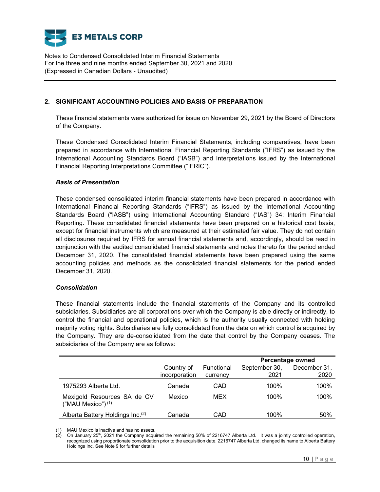

## **2. SIGNIFICANT ACCOUNTING POLICIES AND BASIS OF PREPARATION**

These financial statements were authorized for issue on November 29, 2021 by the Board of Directors of the Company.

These Condensed Consolidated Interim Financial Statements, including comparatives, have been prepared in accordance with International Financial Reporting Standards ("IFRS") as issued by the International Accounting Standards Board ("IASB") and Interpretations issued by the International Financial Reporting Interpretations Committee ("IFRIC").

## *Basis of Presentation*

These condensed consolidated interim financial statements have been prepared in accordance with International Financial Reporting Standards ("IFRS") as issued by the International Accounting Standards Board ("IASB") using International Accounting Standard ("IAS") 34: Interim Financial Reporting. These consolidated financial statements have been prepared on a historical cost basis, except for financial instruments which are measured at their estimated fair value. They do not contain all disclosures required by IFRS for annual financial statements and, accordingly, should be read in conjunction with the audited consolidated financial statements and notes thereto for the period ended December 31, 2020. The consolidated financial statements have been prepared using the same accounting policies and methods as the consolidated financial statements for the period ended December 31, 2020.

### *Consolidation*

These financial statements include the financial statements of the Company and its controlled subsidiaries. Subsidiaries are all corporations over which the Company is able directly or indirectly, to control the financial and operational policies, which is the authority usually connected with holding majority voting rights. Subsidiaries are fully consolidated from the date on which control is acquired by the Company. They are de-consolidated from the date that control by the Company ceases. The subsidiaries of the Company are as follows:

|                                                     |                             |                        | Percentage owned      |                      |  |  |  |
|-----------------------------------------------------|-----------------------------|------------------------|-----------------------|----------------------|--|--|--|
|                                                     | Country of<br>incorporation | Functional<br>currency | September 30,<br>2021 | December 31,<br>2020 |  |  |  |
| 1975293 Alberta Ltd.                                | Canada                      | CAD                    | 100%                  | 100%                 |  |  |  |
| Mexigold Resources SA de CV<br>("MAU Mexico") $(1)$ | Mexico                      | MEX                    | 100%                  | 100%                 |  |  |  |
| Alberta Battery Holdings Inc.(2)                    | Canada                      | CAD                    | 100%                  | 50%                  |  |  |  |

(1) MAU Mexico is inactive and has no assets.

(2) On January 25th, 2021 the Company acquired the remaining 50% of 2216747 Alberta Ltd. It was a jointly controlled operation, recognized using proportionate consolidation prior to the acquisition date. 2216747 Alberta Ltd. changed its name to Alberta Battery Holdings Inc. See Note 9 for further details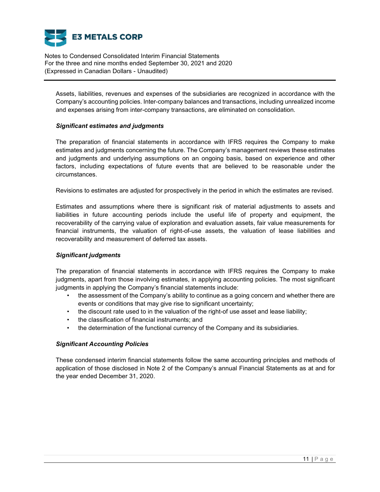

Assets, liabilities, revenues and expenses of the subsidiaries are recognized in accordance with the Company's accounting policies. Inter-company balances and transactions, including unrealized income and expenses arising from inter-company transactions, are eliminated on consolidation.

## *Significant estimates and judgments*

The preparation of financial statements in accordance with IFRS requires the Company to make estimates and judgments concerning the future. The Company's management reviews these estimates and judgments and underlying assumptions on an ongoing basis, based on experience and other factors, including expectations of future events that are believed to be reasonable under the circumstances.

Revisions to estimates are adjusted for prospectively in the period in which the estimates are revised.

Estimates and assumptions where there is significant risk of material adjustments to assets and liabilities in future accounting periods include the useful life of property and equipment, the recoverability of the carrying value of exploration and evaluation assets, fair value measurements for financial instruments, the valuation of right-of-use assets, the valuation of lease liabilities and recoverability and measurement of deferred tax assets.

# *Significant judgments*

The preparation of financial statements in accordance with IFRS requires the Company to make judgments, apart from those involving estimates, in applying accounting policies. The most significant judgments in applying the Company's financial statements include:

- the assessment of the Company's ability to continue as a going concern and whether there are events or conditions that may give rise to significant uncertainty;
- the discount rate used to in the valuation of the right-of use asset and lease liability;
- the classification of financial instruments; and
- the determination of the functional currency of the Company and its subsidiaries.

# *Significant Accounting Policies*

These condensed interim financial statements follow the same accounting principles and methods of application of those disclosed in Note 2 of the Company's annual Financial Statements as at and for the year ended December 31, 2020.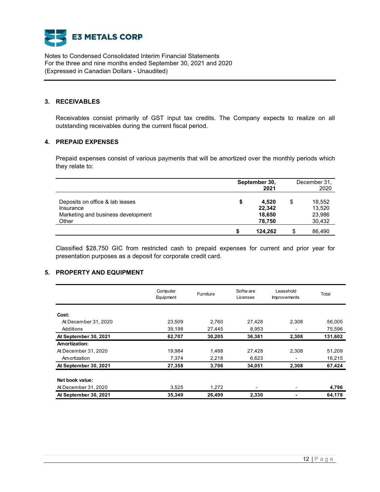

### **3. RECEIVABLES**

Receivables consist primarily of GST input tax credits. The Company expects to realize on all outstanding receivables during the current fiscal period.

## **4. PREPAID EXPENSES**

Prepaid expenses consist of various payments that will be amortized over the monthly periods which they relate to:

|                                                                                             |   | September 30,<br>2021               |   |                                      |
|---------------------------------------------------------------------------------------------|---|-------------------------------------|---|--------------------------------------|
| Deposits on office & lab leases<br>Insurance<br>Marketing and business development<br>Other |   | 4.520<br>22,342<br>18.650<br>78,750 | S | 18,552<br>13,520<br>23,986<br>30,432 |
|                                                                                             | S | 124.262                             | S | 86.490                               |

Classified \$28,750 GIC from restricted cash to prepaid expenses for current and prior year for presentation purposes as a deposit for corporate credit card.

## **5. PROPERTY AND EQUIPMENT**

|                       | Computer<br>Furniture<br>Equipment |        | Softw are<br>Licenses | Leasehold<br><b>Improvements</b> |         |
|-----------------------|------------------------------------|--------|-----------------------|----------------------------------|---------|
| Cost:                 |                                    |        |                       |                                  |         |
| At December 31, 2020  | 23,509                             | 2,760  | 27,428                | 2,308                            | 56,005  |
| Additions             | 39,198                             | 27,445 | 8,953                 |                                  | 75,596  |
| At September 30, 2021 | 62,707                             | 30,205 | 36,381                | 2,308                            | 131,602 |
| Amortization:         |                                    |        |                       |                                  |         |
| At December 31, 2020  | 19,984                             | 1,488  | 27,428                | 2,308                            | 51,209  |
| Amortization          | 7,374                              | 2,218  | 6,623                 |                                  | 16,215  |
| At September 30, 2021 | 27,358                             | 3,706  | 34,051                | 2,308                            | 67,424  |
| Net book value:       |                                    |        |                       |                                  |         |
| At December 31, 2020  | 3,525                              | 1,272  | ٠                     |                                  | 4,796   |
| At September 30, 2021 | 35,349                             | 26,499 | 2,330                 |                                  | 64,178  |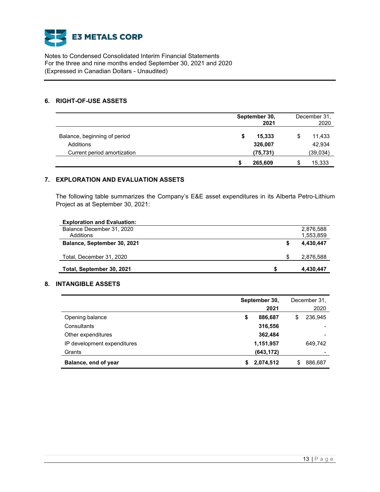

### **6. RIGHT-OF-USE ASSETS**

|                              | September 30,<br>2021 | December 31,<br>2020 |
|------------------------------|-----------------------|----------------------|
| Balance, beginning of period | 15,333<br>\$          | 11,433               |
| Additions                    | 326,007               | 42,934               |
| Current period amortization  | (75, 731)             | (39,034)             |
|                              | 265,609               | 15,333               |

# **7. EXPLORATION AND EVALUATION ASSETS**

The following table summarizes the Company's E&E asset expenditures in its Alberta Petro-Lithium Project as at September 30, 2021:

| <b>Exploration and Evaluation:</b> |  |           |
|------------------------------------|--|-----------|
| Balance December 31, 2020          |  | 2,876,588 |
| Additions                          |  | 1,553,859 |
| Balance, September 30, 2021        |  | 4,430,447 |
| Total, December 31, 2020           |  | 2,876,588 |
| Total, September 30, 2021          |  | 4,430,447 |

# **8. INTANGIBLE ASSETS**

|                             |    | September 30,<br>2021 |     | December 31.<br>2020 |
|-----------------------------|----|-----------------------|-----|----------------------|
| Opening balance             | \$ | 886,687               | \$  | 236,945              |
| Consultants                 |    | 316,556               |     |                      |
| Other expenditures          |    | 362,484               |     |                      |
| IP development expenditures |    | 1,151,957             |     | 649.742              |
| Grants                      |    | (643, 172)            |     |                      |
| Balance, end of year        | S. | 2,074,512             | \$. | 886,687              |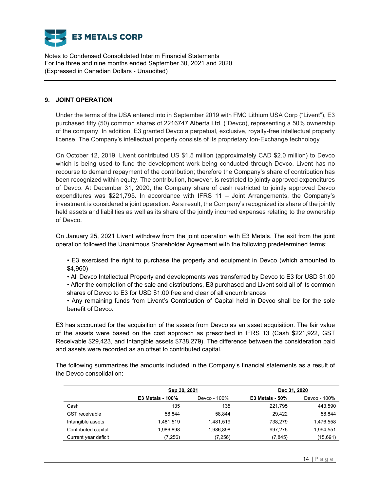

## **9. JOINT OPERATION**

Under the terms of the USA entered into in September 2019 with FMC Lithium USA Corp ("Livent"), E3 purchased fifty (50) common shares of 2216747 Alberta Ltd. ("Devco), representing a 50% ownership of the company. In addition, E3 granted Devco a perpetual, exclusive, royalty-free intellectual property license. The Company's intellectual property consists of its proprietary Ion-Exchange technology

On October 12, 2019, Livent contributed US \$1.5 million (approximately CAD \$2.0 million) to Devco which is being used to fund the development work being conducted through Devco. Livent has no recourse to demand repayment of the contribution; therefore the Company's share of contribution has been recognized within equity. The contribution, however, is restricted to jointly approved expenditures of Devco. At December 31, 2020, the Company share of cash restricted to jointly approved Devco expenditures was \$221,795. In accordance with IFRS 11 – Joint Arrangements, the Company's investment is considered a joint operation. As a result, the Company's recognized its share of the jointly held assets and liabilities as well as its share of the jointly incurred expenses relating to the ownership of Devco.

On January 25, 2021 Livent withdrew from the joint operation with E3 Metals. The exit from the joint operation followed the Unanimous Shareholder Agreement with the following predetermined terms:

• E3 exercised the right to purchase the property and equipment in Devco (which amounted to \$4,960)

• All Devco Intellectual Property and developments was transferred by Devco to E3 for USD \$1.00

• After the completion of the sale and distributions, E3 purchased and Livent sold all of its common shares of Devco to E3 for USD \$1.00 free and clear of all encumbrances

• Any remaining funds from Livent's Contribution of Capital held in Devco shall be for the sole benefit of Devco.

E3 has accounted for the acquisition of the assets from Devco as an asset acquisition. The fair value of the assets were based on the cost approach as prescribed in IFRS 13 (Cash \$221,922, GST Receivable \$29,423, and Intangible assets \$738,279). The difference between the consideration paid and assets were recorded as an offset to contributed capital.

The following summarizes the amounts included in the Company's financial statements as a result of the Devco consolidation:

|                       | Sep 30, 2021            |              | Dec 31, 2020           |              |
|-----------------------|-------------------------|--------------|------------------------|--------------|
|                       | <b>E3 Metals - 100%</b> | Devco - 100% | <b>E3 Metals - 50%</b> | Devco - 100% |
| Cash                  | 135                     | 135          | 221.795                | 443,590      |
| <b>GST</b> receivable | 58.844                  | 58.844       | 29.422                 | 58,844       |
| Intangible assets     | 1.481.519               | 1.481.519    | 738,279                | 1,476,558    |
| Contributed capital   | 1.986.898               | 1,986,898    | 997,275                | 1,994,551    |
| Current year deficit  | (7,256)                 | (7,256)      | (7, 845)               | (15,691)     |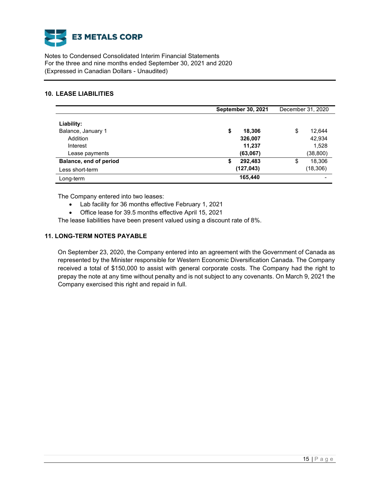

## **10. LEASE LIABILITIES**

|                                | <b>September 30, 2021</b> |                    |    | December 31, 2020 |
|--------------------------------|---------------------------|--------------------|----|-------------------|
| Liability:                     |                           |                    |    |                   |
| Balance, January 1<br>Addition | \$                        | 18,306<br>326,007  | \$ | 12.644<br>42,934  |
| Interest<br>Lease payments     |                           | 11,237<br>(63,067) |    | 1,528<br>(38,800) |
| Balance, end of period         | S                         | 292,483            | \$ | 18,306            |
| Less short-term                |                           | (127,043)          |    | (18,306)          |
| Long-term                      |                           | 165,440            |    |                   |

The Company entered into two leases:

- Lab facility for 36 months effective February 1, 2021
- Office lease for 39.5 months effective April 15, 2021

The lease liabilities have been present valued using a discount rate of 8%.

# **11. LONG-TERM NOTES PAYABLE**

On September 23, 2020, the Company entered into an agreement with the Government of Canada as represented by the Minister responsible for Western Economic Diversification Canada. The Company received a total of \$150,000 to assist with general corporate costs. The Company had the right to prepay the note at any time without penalty and is not subject to any covenants. On March 9, 2021 the Company exercised this right and repaid in full.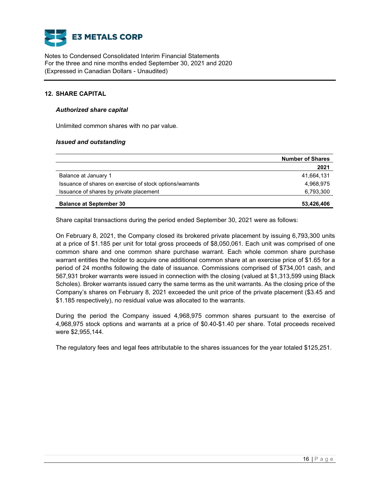

## **12. SHARE CAPITAL**

## *Authorized share capital*

Unlimited common shares with no par value.

### *Issued and outstanding*

|                                                          | <b>Number of Shares</b> |
|----------------------------------------------------------|-------------------------|
|                                                          | 2021                    |
| Balance at January 1                                     | 41,664,131              |
| Issuance of shares on exercise of stock options/warrants | 4,968,975               |
| Issuance of shares by private placement                  | 6,793,300               |
| <b>Balance at September 30</b>                           | 53,426,406              |

Share capital transactions during the period ended September 30, 2021 were as follows:

On February 8, 2021, the Company closed its brokered private placement by issuing 6,793,300 units at a price of \$1.185 per unit for total gross proceeds of \$8,050,061. Each unit was comprised of one common share and one common share purchase warrant. Each whole common share purchase warrant entitles the holder to acquire one additional common share at an exercise price of \$1.65 for a period of 24 months following the date of issuance. Commissions comprised of \$734,001 cash, and 567,931 broker warrants were issued in connection with the closing (valued at \$1,313,599 using Black Scholes). Broker warrants issued carry the same terms as the unit warrants. As the closing price of the Company's shares on February 8, 2021 exceeded the unit price of the private placement (\$3.45 and \$1.185 respectively), no residual value was allocated to the warrants.

During the period the Company issued 4,968,975 common shares pursuant to the exercise of 4,968,975 stock options and warrants at a price of \$0.40-\$1.40 per share. Total proceeds received were \$2,955,144.

The regulatory fees and legal fees attributable to the shares issuances for the year totaled \$125,251.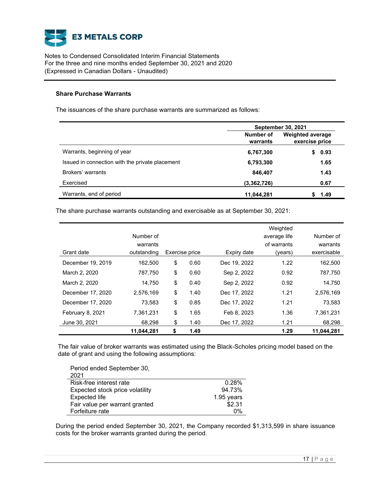

### **Share Purchase Warrants**

The issuances of the share purchase warrants are summarized as follows:

|                                                 | <b>September 30, 2021</b> |                                           |  |  |
|-------------------------------------------------|---------------------------|-------------------------------------------|--|--|
|                                                 | Number of<br>warrants     | <b>Weighted average</b><br>exercise price |  |  |
| Warrants, beginning of year                     | 6,767,300                 | 0.93                                      |  |  |
| Issued in connection with the private placement | 6,793,300                 | 1.65                                      |  |  |
| Brokers' warrants                               | 846,407                   | 1.43                                      |  |  |
| Exercised                                       | (3,362,726)               | 0.67                                      |  |  |
| Warrants, end of period                         | 11,044,281                | 1.49                                      |  |  |

The share purchase warrants outstanding and exercisable as at September 30, 2021:

|                   |             |                |              | Weighted     |             |
|-------------------|-------------|----------------|--------------|--------------|-------------|
|                   | Number of   |                |              | average life | Number of   |
|                   | warrants    |                |              | of warrants  | warrants    |
| Grant date        | outstanding | Exercise price | Expiry date  | (years)      | exercisable |
| December 19, 2019 | 162,500     | \$<br>0.60     | Dec 19, 2022 | 1.22         | 162,500     |
| March 2, 2020     | 787,750     | \$<br>0.60     | Sep 2, 2022  | 0.92         | 787,750     |
| March 2, 2020     | 14,750      | \$<br>0.40     | Sep 2, 2022  | 0.92         | 14,750      |
| December 17, 2020 | 2,576,169   | \$<br>1.40     | Dec 17, 2022 | 1.21         | 2,576,169   |
| December 17, 2020 | 73,583      | \$<br>0.85     | Dec 17, 2022 | 1.21         | 73,583      |
| February 8, 2021  | 7,361,231   | \$<br>1.65     | Feb 8, 2023  | 1.36         | 7.361.231   |
| June 30, 2021     | 68,298      | \$<br>1.40     | Dec 17, 2022 | 1.21         | 68,298      |
|                   | 11,044,281  | \$<br>1.49     |              | 1.29         | 11,044,281  |

The fair value of broker warrants was estimated using the Black-Scholes pricing model based on the date of grant and using the following assumptions:

| Period ended September 30,<br>2021 |            |
|------------------------------------|------------|
| Risk-free interest rate            | 0.28%      |
| Expected stock price volatility    | 94.73%     |
| <b>Expected life</b>               | 1.95 years |
| Fair value per warrant granted     | \$2.31     |
| Forfeiture rate                    | በ%         |

During the period ended September 30, 2021, the Company recorded \$1,313,599 in share issuance costs for the broker warrants granted during the period.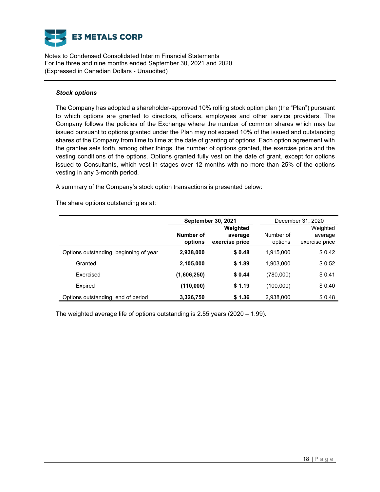

### *Stock options*

The Company has adopted a shareholder-approved 10% rolling stock option plan (the "Plan") pursuant to which options are granted to directors, officers, employees and other service providers. The Company follows the policies of the Exchange where the number of common shares which may be issued pursuant to options granted under the Plan may not exceed 10% of the issued and outstanding shares of the Company from time to time at the date of granting of options. Each option agreement with the grantee sets forth, among other things, the number of options granted, the exercise price and the vesting conditions of the options. Options granted fully vest on the date of grant, except for options issued to Consultants, which vest in stages over 12 months with no more than 25% of the options vesting in any 3-month period.

A summary of the Company's stock option transactions is presented below:

The share options outstanding as at:

|                                        |                      | <b>September 30, 2021</b>             | December 31, 2020    |                                       |  |
|----------------------------------------|----------------------|---------------------------------------|----------------------|---------------------------------------|--|
|                                        | Number of<br>options | Weighted<br>average<br>exercise price | Number of<br>options | Weighted<br>average<br>exercise price |  |
| Options outstanding, beginning of year | 2,938,000            | \$0.48                                | 1.915.000            | \$0.42                                |  |
| Granted                                | 2,105,000            | \$1.89                                | 1,903,000            | \$0.52                                |  |
| <b>Fxercised</b>                       | (1,606,250)          | \$0.44                                | (780,000)            | \$0.41                                |  |
| Expired                                | (110,000)            | \$1.19                                | (100,000)            | \$0.40                                |  |
| Options outstanding, end of period     | 3,326,750            | \$1.36                                | 2,938,000            | \$0.48                                |  |

The weighted average life of options outstanding is 2.55 years (2020 – 1.99).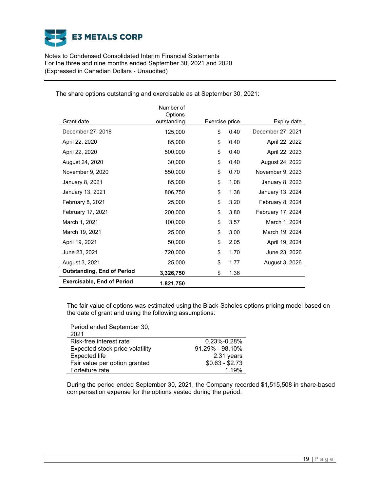

| August 3, 2021<br><b>Outstanding, End of Period</b> | 25,000<br>3,326,750  | \$<br>\$       | 1.77<br>1.36 | August 3, 2026    |  |
|-----------------------------------------------------|----------------------|----------------|--------------|-------------------|--|
| June 23, 2021                                       | 720,000              | \$             | 1.70         | June 23, 2026     |  |
| April 19, 2021                                      | 50,000               | \$             | 2.05         | April 19, 2024    |  |
| March 19, 2021                                      | 25,000               | \$             | 3.00         | March 19, 2024    |  |
| March 1, 2021                                       | 100,000              | \$             | 3.57         | March 1, 2024     |  |
| February 17, 2021                                   | 200,000              | \$             | 3.80         | February 17, 2024 |  |
| February 8, 2021                                    | 25,000               | \$             | 3.20         | February 8, 2024  |  |
| January 13, 2021                                    | 806,750              | \$             | 1.38         | January 13, 2024  |  |
| January 8, 2021                                     | 85,000               | \$             | 1.08         | January 8, 2023   |  |
| November 9, 2020                                    | 550,000              | \$             | 0.70         | November 9, 2023  |  |
| August 24, 2020                                     | 30,000               | \$             | 0.40         | August 24, 2022   |  |
| April 22, 2020                                      | 500,000              | \$             | 0.40         | April 22, 2023    |  |
| April 22, 2020                                      | 85,000               | \$             | 0.40         | April 22, 2022    |  |
| December 27, 2018                                   | 125,000              | \$             | 0.40         | December 27, 2021 |  |
| Grant date                                          | outstanding          | Exercise price |              | Expiry date       |  |
|                                                     | Number of<br>Options |                |              |                   |  |

The share options outstanding and exercisable as at September 30, 2021:

The fair value of options was estimated using the Black-Scholes options pricing model based on the date of grant and using the following assumptions:

Period ended September 30, 2021

| 2021.                           |                     |
|---------------------------------|---------------------|
| Risk-free interest rate         | $0.23\% - 0.28\%$   |
| Expected stock price volatility | $91.29\% - 98.10\%$ |
| <b>Expected life</b>            | 2.31 years          |
| Fair value per option granted   | $$0.63 - $2.73$     |
| Forfeiture rate                 | 1.19%               |

During the period ended September 30, 2021, the Company recorded \$1,515,508 in share-based compensation expense for the options vested during the period.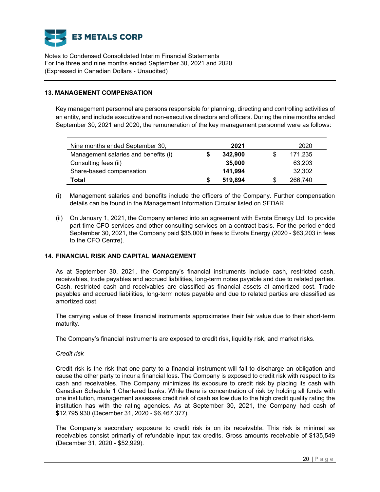

## **13. MANAGEMENT COMPENSATION**

Key management personnel are persons responsible for planning, directing and controlling activities of an entity, and include executive and non-executive directors and officers. During the nine months ended September 30, 2021 and 2020, the remuneration of the key management personnel were as follows:

| Nine months ended September 30,      | 2021    |     | 2020    |
|--------------------------------------|---------|-----|---------|
| Management salaries and benefits (i) | 342.900 | \$. | 171,235 |
| Consulting fees (ii)                 | 35,000  |     | 63,203  |
| Share-based compensation             | 141.994 |     | 32,302  |
| Total                                | 519,894 | S   | 266,740 |

- (i) Management salaries and benefits include the officers of the Company. Further compensation details can be found in the Management Information Circular listed on SEDAR.
- (ii) On January 1, 2021, the Company entered into an agreement with Evrota Energy Ltd. to provide part-time CFO services and other consulting services on a contract basis. For the period ended September 30, 2021, the Company paid \$35,000 in fees to Evrota Energy (2020 - \$63,203 in fees to the CFO Centre).

### **14. FINANCIAL RISK AND CAPITAL MANAGEMENT**

As at September 30, 2021, the Company's financial instruments include cash, restricted cash, receivables, trade payables and accrued liabilities, long-term notes payable and due to related parties. Cash, restricted cash and receivables are classified as financial assets at amortized cost. Trade payables and accrued liabilities, long-term notes payable and due to related parties are classified as amortized cost.

The carrying value of these financial instruments approximates their fair value due to their short-term maturity.

The Company's financial instruments are exposed to credit risk, liquidity risk, and market risks.

### *Credit risk*

Credit risk is the risk that one party to a financial instrument will fail to discharge an obligation and cause the other party to incur a financial loss. The Company is exposed to credit risk with respect to its cash and receivables. The Company minimizes its exposure to credit risk by placing its cash with Canadian Schedule 1 Chartered banks. While there is concentration of risk by holding all funds with one institution, management assesses credit risk of cash as low due to the high credit quality rating the institution has with the rating agencies. As at September 30, 2021, the Company had cash of \$12,795,930 (December 31, 2020 - \$6,467,377).

The Company's secondary exposure to credit risk is on its receivable. This risk is minimal as receivables consist primarily of refundable input tax credits. Gross amounts receivable of \$135,549 (December 31, 2020 - \$52,929).